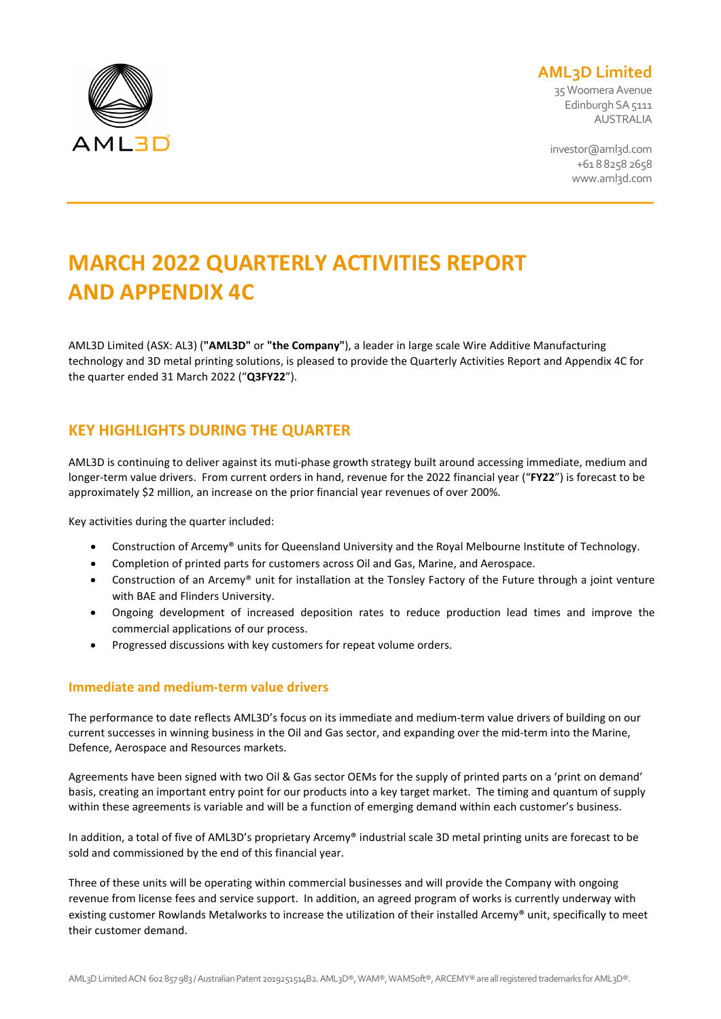

# **AML3D Limited**

35 Woomera Avenue Edinburgh SA 5111 AUSTRALIA

investor@aml3d.com +61 8 8258 2658 www.aml3d.com

# **MARCH 2022 QUARTERLY ACTIVITIES REPORT AND APPENDIX 4C**

AML3D Limited (ASX: AL3) (**"AML3D"** or **"the Company"**), a leader in large scale Wire Additive Manufacturing technology and 3D metal printing solutions, is pleased to provide the Quarterly Activities Report and Appendix 4C for the quarter ended 31 March 2022 ("**Q3FY22**").

# **KEY HIGHLIGHTS DURING THE QUARTER**

AML3D is continuing to deliver against its muti-phase growth strategy built around accessing immediate, medium and longer-term value drivers. From current orders in hand, revenue for the 2022 financial year ("**FY22**") is forecast to be approximately \$2 million, an increase on the prior financial year revenues of over 200%.

Key activities during the quarter included:

- Construction of Arcemy® units for Queensland University and the Royal Melbourne Institute of Technology.
- Completion of printed parts for customers across Oil and Gas, Marine, and Aerospace.
- Construction of an Arcemy® unit for installation at the Tonsley Factory of the Future through a joint venture with BAE and Flinders University.
- Ongoing development of increased deposition rates to reduce production lead times and improve the commercial applications of our process.
- Progressed discussions with key customers for repeat volume orders.

# **Immediate and medium-term value drivers**

The performance to date reflects AML3D's focus on its immediate and medium-term value drivers of building on our current successes in winning business in the Oil and Gas sector, and expanding over the mid-term into the Marine, Defence, Aerospace and Resources markets.

Agreements have been signed with two Oil & Gas sector OEMs for the supply of printed parts on a 'print on demand' basis, creating an important entry point for our products into a key target market. The timing and quantum of supply within these agreements is variable and will be a function of emerging demand within each customer's business.

In addition, a total of five of AML3D's proprietary Arcemy® industrial scale 3D metal printing units are forecast to be sold and commissioned by the end of this financial year.

Three of these units will be operating within commercial businesses and will provide the Company with ongoing revenue from license fees and service support. In addition, an agreed program of works is currently underway with existing customer Rowlands Metalworks to increase the utilization of their installed Arcemy® unit, specifically to meet their customer demand.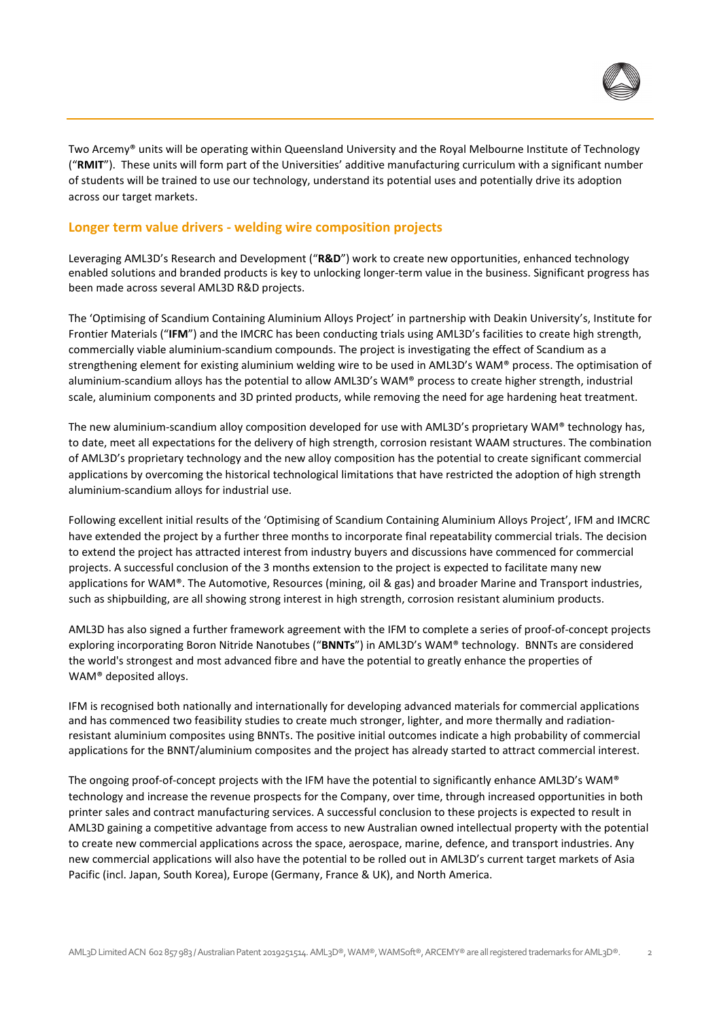

Two Arcemy® units will be operating within Queensland University and the Royal Melbourne Institute of Technology ("**RMIT**"). These units will form part of the Universities' additive manufacturing curriculum with a significant number of students will be trained to use our technology, understand its potential uses and potentially drive its adoption across our target markets.

# **Longer term value drivers - welding wire composition projects**

Leveraging AML3D's Research and Development ("**R&D**") work to create new opportunities, enhanced technology enabled solutions and branded products is key to unlocking longer-term value in the business. Significant progress has been made across several AML3D R&D projects.

The 'Optimising of Scandium Containing Aluminium Alloys Project' in partnership with Deakin University's, Institute for Frontier Materials ("**IFM**") and the IMCRC has been conducting trials using AML3D's facilities to create high strength, commercially viable aluminium-scandium compounds. The project is investigating the effect of Scandium as a strengthening element for existing aluminium welding wire to be used in AML3D's WAM® process. The optimisation of aluminium-scandium alloys has the potential to allow AML3D's WAM® process to create higher strength, industrial scale, aluminium components and 3D printed products, while removing the need for age hardening heat treatment.

The new aluminium-scandium alloy composition developed for use with AML3D's proprietary WAM® technology has, to date, meet all expectations for the delivery of high strength, corrosion resistant WAAM structures. The combination of AML3D's proprietary technology and the new alloy composition has the potential to create significant commercial applications by overcoming the historical technological limitations that have restricted the adoption of high strength aluminium-scandium alloys for industrial use.

Following excellent initial results of the 'Optimising of Scandium Containing Aluminium Alloys Project', IFM and IMCRC have extended the project by a further three months to incorporate final repeatability commercial trials. The decision to extend the project has attracted interest from industry buyers and discussions have commenced for commercial projects. A successful conclusion of the 3 months extension to the project is expected to facilitate many new applications for WAM®. The Automotive, Resources (mining, oil & gas) and broader Marine and Transport industries, such as shipbuilding, are all showing strong interest in high strength, corrosion resistant aluminium products.

AML3D has also signed a further framework agreement with the IFM to complete a series of proof-of-concept projects exploring incorporating Boron Nitride Nanotubes ("**BNNTs**") in AML3D's WAM® technology. BNNTs are considered the world's strongest and most advanced fibre and have the potential to greatly enhance the properties of WAM® deposited alloys.

IFM is recognised both nationally and internationally for developing advanced materials for commercial applications and has commenced two feasibility studies to create much stronger, lighter, and more thermally and radiationresistant aluminium composites using BNNTs. The positive initial outcomes indicate a high probability of commercial applications for the BNNT/aluminium composites and the project has already started to attract commercial interest.

The ongoing proof-of-concept projects with the IFM have the potential to significantly enhance AML3D's WAM® technology and increase the revenue prospects for the Company, over time, through increased opportunities in both printer sales and contract manufacturing services. A successful conclusion to these projects is expected to result in AML3D gaining a competitive advantage from access to new Australian owned intellectual property with the potential to create new commercial applications across the space, aerospace, marine, defence, and transport industries. Any new commercial applications will also have the potential to be rolled out in AML3D's current target markets of Asia Pacific (incl. Japan, South Korea), Europe (Germany, France & UK), and North America.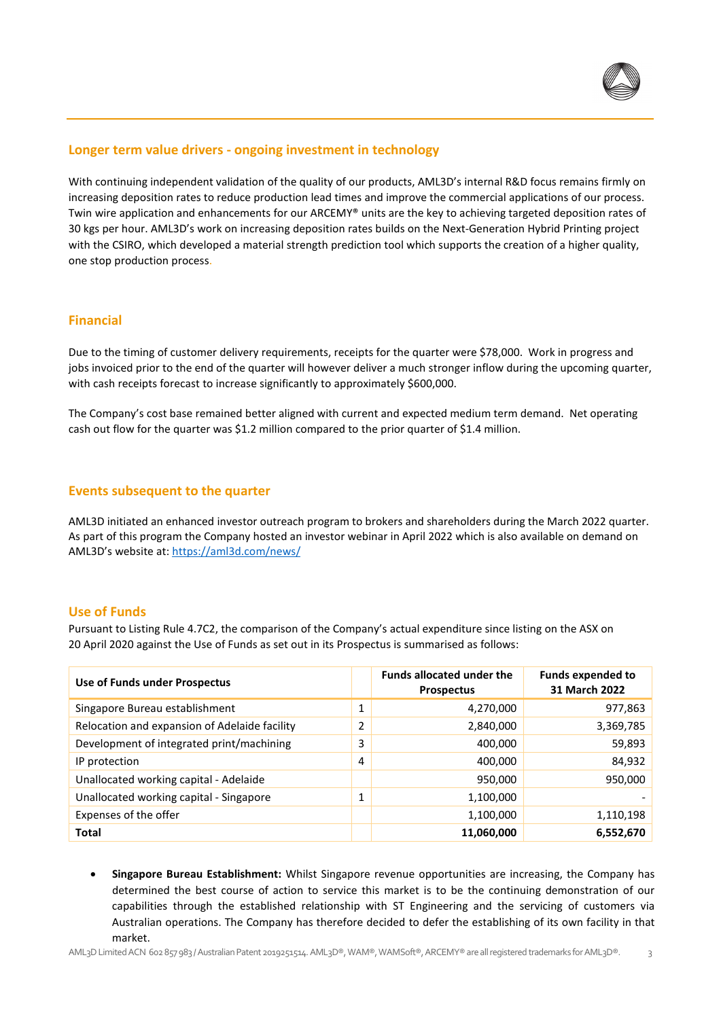

# **Longer term value drivers - ongoing investment in technology**

With continuing independent validation of the quality of our products, AML3D's internal R&D focus remains firmly on increasing deposition rates to reduce production lead times and improve the commercial applications of our process. Twin wire application and enhancements for our ARCEMY® units are the key to achieving targeted deposition rates of 30 kgs per hour. AML3D's work on increasing deposition rates builds on the Next-Generation Hybrid Printing project with the CSIRO, which developed a material strength prediction tool which supports the creation of a higher quality, one stop production process.

# **Financial**

Due to the timing of customer delivery requirements, receipts for the quarter were \$78,000. Work in progress and jobs invoiced prior to the end of the quarter will however deliver a much stronger inflow during the upcoming quarter, with cash receipts forecast to increase significantly to approximately \$600,000.

The Company's cost base remained better aligned with current and expected medium term demand. Net operating cash out flow for the quarter was \$1.2 million compared to the prior quarter of \$1.4 million.

# **Events subsequent to the quarter**

AML3D initiated an enhanced investor outreach program to brokers and shareholders during the March 2022 quarter. As part of this program the Company hosted an investor webinar in April 2022 which is also available on deman[d on](https://d.docs.live.net/3b979ebf4b74d28b/Documents/AML/Quarterly%20Report%20Q3%20FY22/on) AML3D's website at:<https://aml3d.com/news/>

# **Use of Funds**

Pursuant to Listing Rule 4.7C2, the comparison of the Company's actual expenditure since listing on the ASX on 20 April 2020 against the Use of Funds as set out in its Prospectus is summarised as follows:

| Use of Funds under Prospectus                 |          | <b>Funds allocated under the</b><br><b>Prospectus</b> | <b>Funds expended to</b><br>31 March 2022 |
|-----------------------------------------------|----------|-------------------------------------------------------|-------------------------------------------|
| Singapore Bureau establishment                | Ŧ        | 4,270,000                                             | 977,863                                   |
| Relocation and expansion of Adelaide facility | 2        | 2,840,000                                             | 3,369,785                                 |
| Development of integrated print/machining     | 3        | 400,000                                               | 59,893                                    |
| IP protection                                 | 4        | 400,000                                               | 84,932                                    |
| Unallocated working capital - Adelaide        |          | 950,000                                               | 950,000                                   |
| Unallocated working capital - Singapore       | <b>I</b> | 1,100,000                                             |                                           |
| Expenses of the offer                         |          | 1,100,000                                             | 1,110,198                                 |
| <b>Total</b>                                  |          | 11,060,000                                            | 6,552,670                                 |

• **Singapore Bureau Establishment:** Whilst Singapore revenue opportunities are increasing, the Company has determined the best course of action to service this market is to be the continuing demonstration of our capabilities through the established relationship with ST Engineering and the servicing of customers via Australian operations. The Company has therefore decided to defer the establishing of its own facility in that market.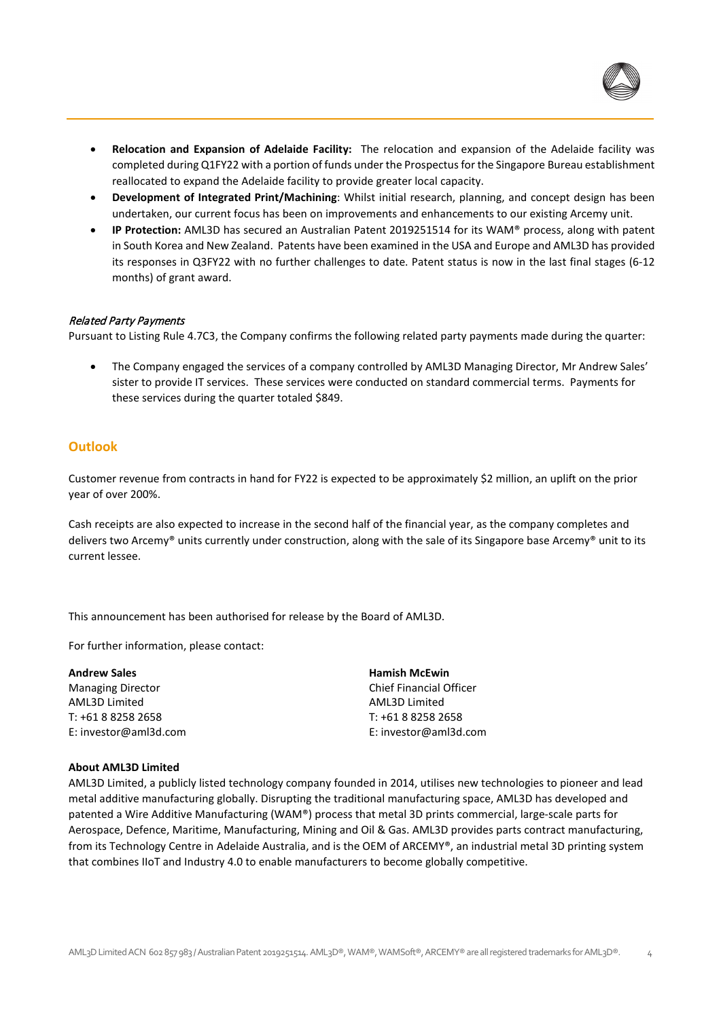

- **Relocation and Expansion of Adelaide Facility:** The relocation and expansion of the Adelaide facility was completed during Q1FY22 with a portion of funds under the Prospectus for the Singapore Bureau establishment reallocated to expand the Adelaide facility to provide greater local capacity.
- **Development of Integrated Print/Machining**: Whilst initial research, planning, and concept design has been undertaken, our current focus has been on improvements and enhancements to our existing Arcemy unit.
- **IP Protection:** AML3D has secured an Australian Patent 2019251514 for its WAM® process, along with patent in South Korea and New Zealand. Patents have been examined in the USA and Europe and AML3D has provided its responses in Q3FY22 with no further challenges to date. Patent status is now in the last final stages (6-12 months) of grant award.

### Related Party Payments

Pursuant to Listing Rule 4.7C3, the Company confirms the following related party payments made during the quarter:

• The Company engaged the services of a company controlled by AML3D Managing Director, Mr Andrew Sales' sister to provide IT services. These services were conducted on standard commercial terms. Payments for these services during the quarter totaled \$849.

# **Outlook**

Customer revenue from contracts in hand for FY22 is expected to be approximately \$2 million, an uplift on the prior year of over 200%.

Cash receipts are also expected to increase in the second half of the financial year, as the company completes and delivers two Arcemy® units currently under construction, along with the sale of its Singapore base Arcemy® unit to its current lessee.

This announcement has been authorised for release by the Board of AML3D.

For further information, please contact:

| <b>Andrew Sales</b>      | <b>Hamish McEwin</b>           |
|--------------------------|--------------------------------|
| <b>Managing Director</b> | <b>Chief Financial Officer</b> |
| AML3D Limited            | AML3D Limited                  |
| T: +61 8 8258 2658       | T: +61 8 8258 2658             |
| E: investor@aml3d.com    | E: investor@aml3d.com          |

#### **About AML3D Limited**

AML3D Limited, a publicly listed technology company founded in 2014, utilises new technologies to pioneer and lead metal additive manufacturing globally. Disrupting the traditional manufacturing space, AML3D has developed and patented a Wire Additive Manufacturing (WAM®) process that metal 3D prints commercial, large-scale parts for Aerospace, Defence, Maritime, Manufacturing, Mining and Oil & Gas. AML3D provides parts contract manufacturing, from its Technology Centre in Adelaide Australia, and is the OEM of ARCEMY®, an industrial metal 3D printing system that combines IIoT and Industry 4.0 to enable manufacturers to become globally competitive.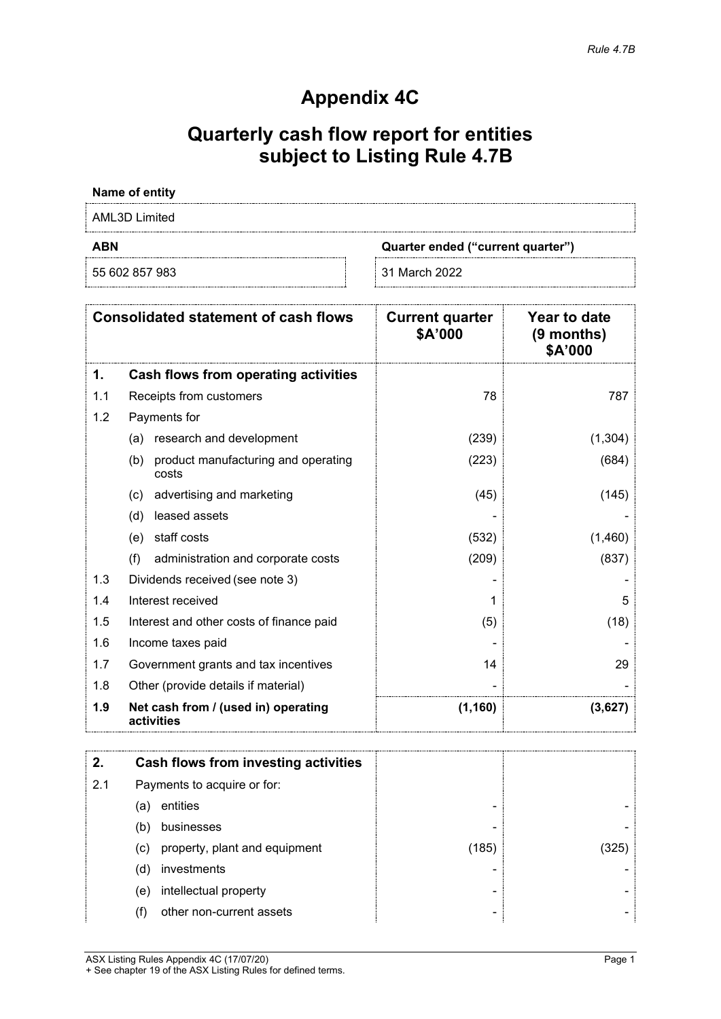# **Appendix 4C**

# **Quarterly cash flow report for entities subject to Listing Rule 4.7B**

# **Name of entity**

AML3D Limited

55 602 857 983 31 March 2022

**ABN Quarter ended ("current quarter")**

|     | <b>Consolidated statement of cash flows</b>         | <b>Current quarter</b><br>\$A'000 | Year to date<br>$(9$ months)<br>\$A'000 |
|-----|-----------------------------------------------------|-----------------------------------|-----------------------------------------|
| 1.  | Cash flows from operating activities                |                                   |                                         |
| 1.1 | Receipts from customers                             | 78                                | 787                                     |
| 1.2 | Payments for                                        |                                   |                                         |
|     | research and development<br>(a)                     | (239)                             | (1, 304)                                |
|     | product manufacturing and operating<br>(b)<br>costs | (223)                             | (684)                                   |
|     | advertising and marketing<br>(c)                    | (45)                              | (145)                                   |
|     | leased assets<br>(d)                                |                                   |                                         |
|     | staff costs<br>(e)                                  | (532)                             | (1,460)                                 |
|     | (f)<br>administration and corporate costs           | (209)                             | (837)                                   |
| 1.3 | Dividends received (see note 3)                     |                                   |                                         |
| 1.4 | Interest received                                   |                                   | 5                                       |
| 1.5 | Interest and other costs of finance paid            | (5)                               | (18)                                    |
| 1.6 | Income taxes paid                                   |                                   |                                         |
| 1.7 | Government grants and tax incentives                | 14                                | 29                                      |
| 1.8 | Other (provide details if material)                 |                                   |                                         |
| 1.9 | Net cash from / (used in) operating<br>activities   | (1, 160)                          | (3,627)                                 |

|     |                             | Cash flows from investing activities |       |  |
|-----|-----------------------------|--------------------------------------|-------|--|
| 2.1 | Payments to acquire or for: |                                      |       |  |
|     | (a)                         | entities                             |       |  |
|     | (b)                         | businesses                           |       |  |
|     | (c)                         | property, plant and equipment        | (185) |  |
|     | (d)                         | investments                          |       |  |
|     | (e)                         | intellectual property                |       |  |
|     | (†)                         | other non-current assets             |       |  |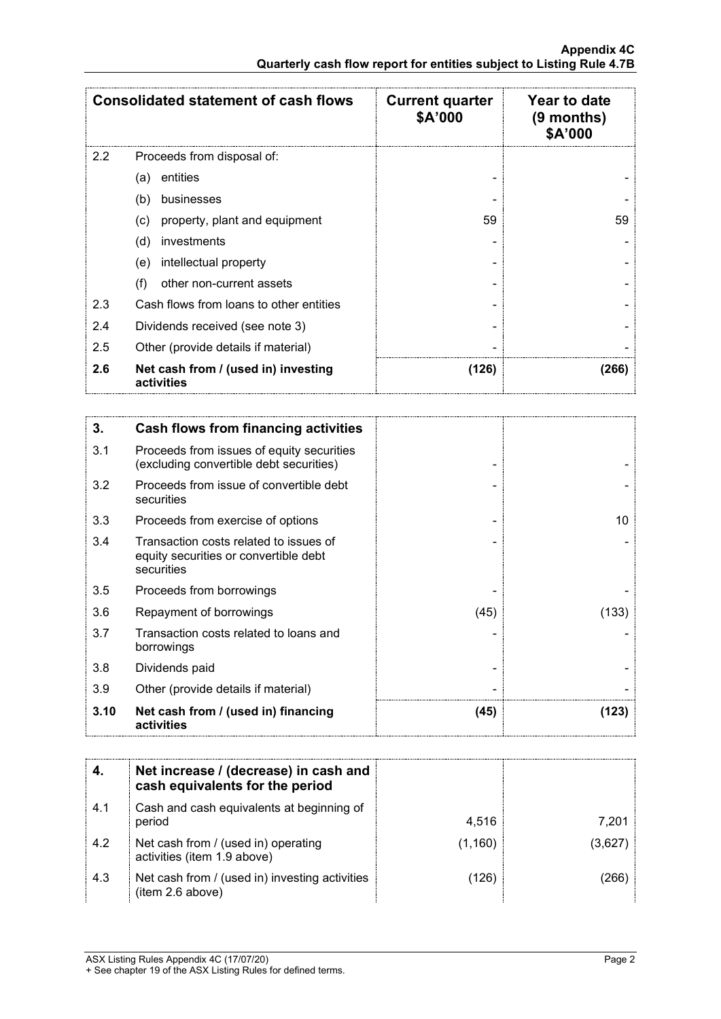|     | <b>Consolidated statement of cash flows</b>       | <b>Current quarter</b><br>\$A'000 | <b>Year to date</b><br>(9 months)<br>\$A'000 |
|-----|---------------------------------------------------|-----------------------------------|----------------------------------------------|
| 2.2 | Proceeds from disposal of:                        |                                   |                                              |
|     | entities<br>(a)                                   |                                   |                                              |
|     | (b)<br>businesses                                 |                                   |                                              |
|     | property, plant and equipment<br>(c)              | 59                                | 59                                           |
|     | investments<br>(d)                                |                                   |                                              |
|     | intellectual property<br>(e)                      |                                   |                                              |
|     | other non-current assets<br>(f)                   |                                   |                                              |
| 2.3 | Cash flows from loans to other entities           |                                   |                                              |
| 2.4 | Dividends received (see note 3)                   |                                   |                                              |
| 2.5 | Other (provide details if material)               |                                   |                                              |
| 2.6 | Net cash from / (used in) investing<br>activities | (126)                             | (266)                                        |

| 3.   | <b>Cash flows from financing activities</b>                                                   |      |       |
|------|-----------------------------------------------------------------------------------------------|------|-------|
| 3.1  | Proceeds from issues of equity securities<br>(excluding convertible debt securities)          |      |       |
| 3.2  | Proceeds from issue of convertible debt<br>securities                                         |      |       |
| 3.3  | Proceeds from exercise of options                                                             |      | 10    |
| 3.4  | Transaction costs related to issues of<br>equity securities or convertible debt<br>securities |      |       |
| 3.5  | Proceeds from borrowings                                                                      |      |       |
| 3.6  | Repayment of borrowings                                                                       | (45) | (133) |
| 3.7  | Transaction costs related to loans and<br>borrowings                                          |      |       |
| 3.8  | Dividends paid                                                                                |      |       |
| 3.9  | Other (provide details if material)                                                           |      |       |
| 3.10 | Net cash from / (used in) financing<br>activities                                             | (45) | (123) |

|     | Net increase / (decrease) in cash and<br>cash equivalents for the period |         |       |
|-----|--------------------------------------------------------------------------|---------|-------|
| 4.1 | Cash and cash equivalents at beginning of<br>period                      | 4.516   | 7.201 |
| 4.2 | Net cash from / (used in) operating<br>activities (item 1.9 above)       | (1,160) |       |
| 4.3 | Net cash from / (used in) investing activities<br>(item 2.6 above)       | 126     |       |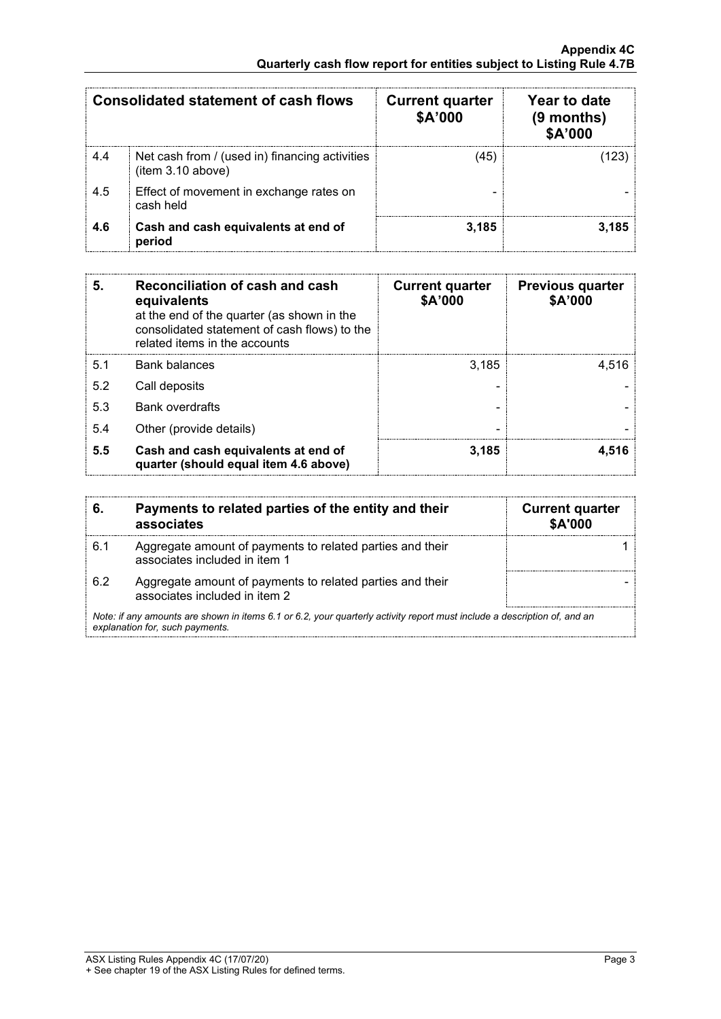| <b>Consolidated statement of cash flows</b> |                                                                     | <b>Current quarter</b><br>\$A'000 | Year to date<br>$(9$ months)<br>\$A'000 |
|---------------------------------------------|---------------------------------------------------------------------|-----------------------------------|-----------------------------------------|
| 4.4                                         | Net cash from / (used in) financing activities<br>(item 3.10 above) | 45                                |                                         |
| 4.5                                         | Effect of movement in exchange rates on<br>cash held                |                                   |                                         |
| 4.6                                         | Cash and cash equivalents at end of<br>period                       | 3.185                             |                                         |

| 5.  | Reconciliation of cash and cash<br>equivalents<br>at the end of the quarter (as shown in the<br>consolidated statement of cash flows) to the<br>related items in the accounts | <b>Current quarter</b><br>\$A'000 | <b>Previous quarter</b><br>\$A'000 |
|-----|-------------------------------------------------------------------------------------------------------------------------------------------------------------------------------|-----------------------------------|------------------------------------|
| 5.1 | <b>Bank balances</b>                                                                                                                                                          | 3.185                             | 4.516                              |
| 5.2 | Call deposits                                                                                                                                                                 |                                   |                                    |
| 5.3 | <b>Bank overdrafts</b>                                                                                                                                                        |                                   |                                    |
| 5.4 | Other (provide details)                                                                                                                                                       |                                   |                                    |
| 5.5 | Cash and cash equivalents at end of<br>quarter (should equal item 4.6 above)                                                                                                  | 3,185                             | 4.516                              |

|     | Payments to related parties of the entity and their<br>associates                                                                                           | <b>Current quarter</b><br>\$A'000 |  |  |
|-----|-------------------------------------------------------------------------------------------------------------------------------------------------------------|-----------------------------------|--|--|
| 6.1 | Aggregate amount of payments to related parties and their<br>associates included in item 1                                                                  |                                   |  |  |
| 6.2 | Aggregate amount of payments to related parties and their<br>associates included in item 2                                                                  |                                   |  |  |
|     | Note: if any amounts are shown in items 6.1 or 6.2, your quarterly activity report must include a description of, and an<br>explanation for, such payments. |                                   |  |  |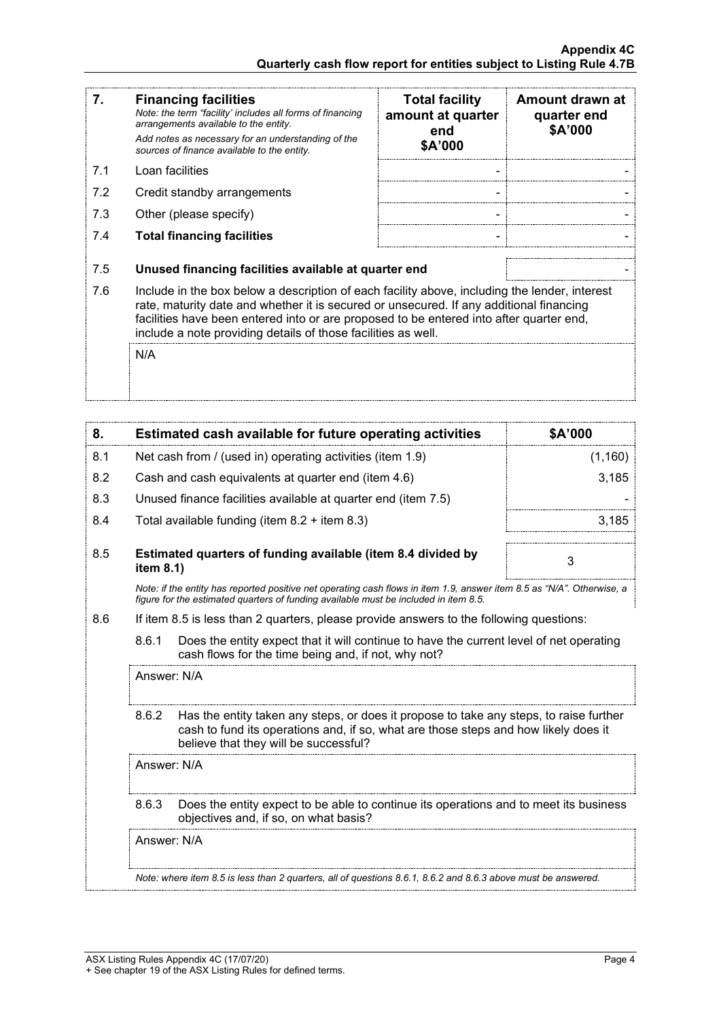| 7.  | <b>Financing facilities</b><br>Note: the term "facility' includes all forms of financing<br>arrangements available to the entity.<br>Add notes as necessary for an understanding of the<br>sources of finance available to the entity.                                                                                                               | <b>Total facility</b><br>amount at quarter<br>end<br>\$A'000 | Amount drawn at<br>quarter end<br>\$A'000 |
|-----|------------------------------------------------------------------------------------------------------------------------------------------------------------------------------------------------------------------------------------------------------------------------------------------------------------------------------------------------------|--------------------------------------------------------------|-------------------------------------------|
| 7.1 | Loan facilities                                                                                                                                                                                                                                                                                                                                      |                                                              |                                           |
| 7.2 | Credit standby arrangements                                                                                                                                                                                                                                                                                                                          |                                                              |                                           |
| 7.3 | Other (please specify)                                                                                                                                                                                                                                                                                                                               |                                                              |                                           |
| 7.4 | <b>Total financing facilities</b>                                                                                                                                                                                                                                                                                                                    |                                                              |                                           |
| 7.5 | Unused financing facilities available at quarter end                                                                                                                                                                                                                                                                                                 |                                                              |                                           |
| 7.6 | Include in the box below a description of each facility above, including the lender, interest<br>rate, maturity date and whether it is secured or unsecured. If any additional financing<br>facilities have been entered into or are proposed to be entered into after quarter end,<br>include a note providing details of those facilities as well. |                                                              |                                           |
|     | N/A                                                                                                                                                                                                                                                                                                                                                  |                                                              |                                           |

| 8.  |             | <b>Estimated cash available for future operating activities</b>                                                                                                                                                        | \$A'000 |
|-----|-------------|------------------------------------------------------------------------------------------------------------------------------------------------------------------------------------------------------------------------|---------|
| 8.1 |             | Net cash from / (used in) operating activities (item 1.9)                                                                                                                                                              | (1,160) |
| 8.2 |             | Cash and cash equivalents at quarter end (item 4.6)                                                                                                                                                                    | 3,185   |
| 8.3 |             | Unused finance facilities available at quarter end (item 7.5)                                                                                                                                                          |         |
| 8.4 |             | Total available funding (item $8.2 +$ item $8.3$ )                                                                                                                                                                     | 3.185   |
| 8.5 | item 8.1)   | Estimated quarters of funding available (item 8.4 divided by                                                                                                                                                           | 3       |
|     |             | Note: if the entity has reported positive net operating cash flows in item 1.9, answer item 8.5 as "N/A". Otherwise, a<br>figure for the estimated quarters of funding available must be included in item 8.5.         |         |
| 8.6 |             | If item 8.5 is less than 2 quarters, please provide answers to the following questions:                                                                                                                                |         |
|     | 8.6.1       | Does the entity expect that it will continue to have the current level of net operating<br>cash flows for the time being and, if not, why not?                                                                         |         |
|     | Answer: N/A |                                                                                                                                                                                                                        |         |
|     | 8.6.2       | Has the entity taken any steps, or does it propose to take any steps, to raise further<br>cash to fund its operations and, if so, what are those steps and how likely does it<br>believe that they will be successful? |         |
|     | Answer: N/A |                                                                                                                                                                                                                        |         |
|     | 8.6.3       | Does the entity expect to be able to continue its operations and to meet its business<br>objectives and, if so, on what basis?                                                                                         |         |
|     | Answer: N/A |                                                                                                                                                                                                                        |         |
|     |             | Note: where item 8.5 is less than 2 quarters, all of questions 8.6.1, 8.6.2 and 8.6.3 above must be answered.                                                                                                          |         |
|     |             |                                                                                                                                                                                                                        |         |